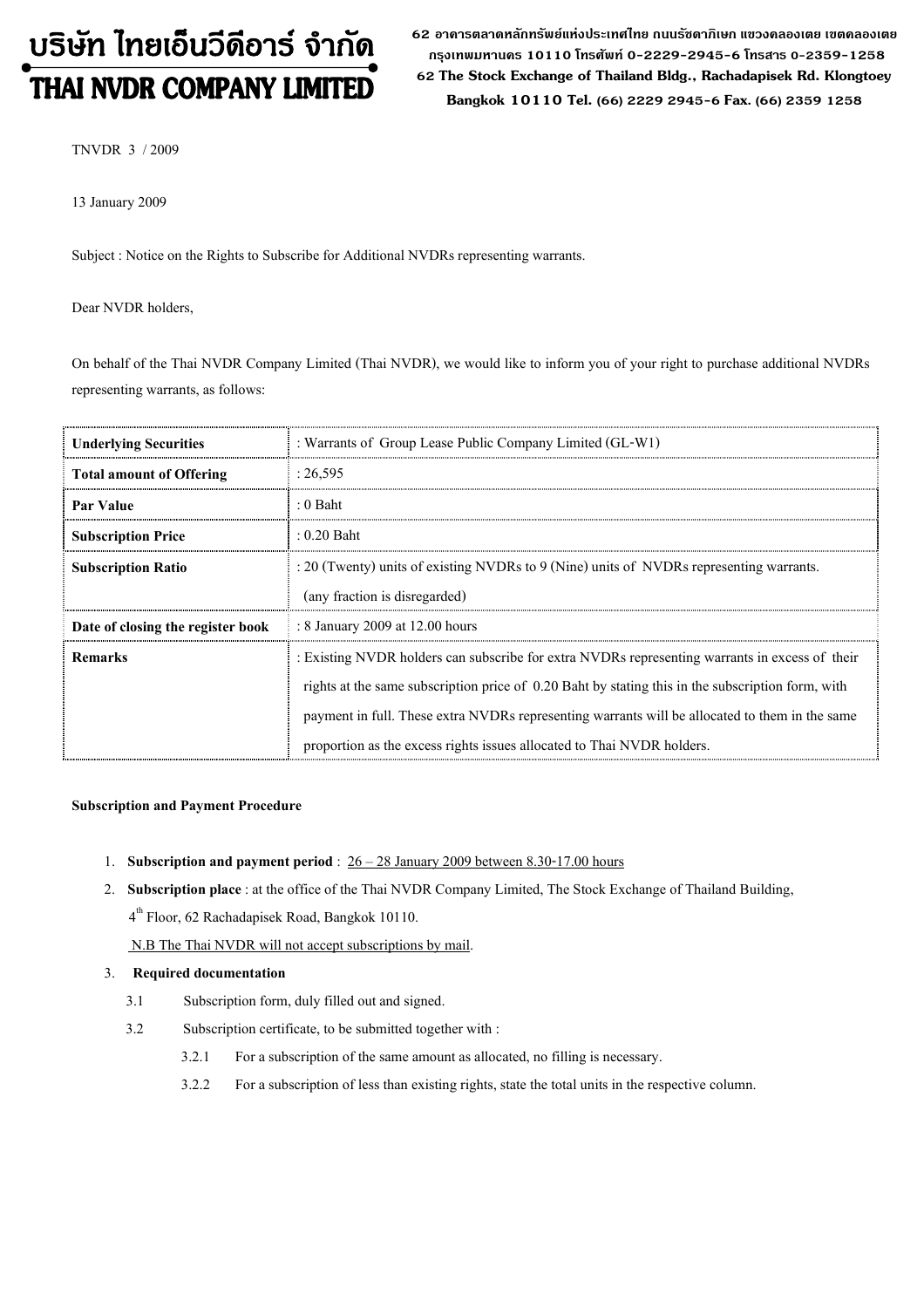# บริษัท ไทยเอ็นวีดีอาร์ จำกัด

62 อาดารตลาดหลักทรัพย์แห่งประเทศไทย ถนนรัซดาภิเษก แขวงดลองเตย เขตดลองเตย กรุงเทพมหานดร 10110 โทรศัพท์ 0-2229-2945-6 โทรสาร 0-2359-1258 **THAI NVDR COMPANY LIMITED** 62 The Stock Exchange of Thailand Bldg., Rachadapisek Rd. Klongtoey Bangkok 10110 Tel. (66) 2229 2945-6 Fax. (66) 2359 1258

TNVDR 3 / 2009

13 January 2009

Subject : Notice on the Rights to Subscribe for Additional NVDRs representing warrants.

Dear NVDR holders,

On behalf of the Thai NVDR Company Limited (Thai NVDR), we would like to inform you of your right to purchase additional NVDRs representing warrants, as follows:

| <b>Underlying Securities</b>      | : Warrants of Group Lease Public Company Limited (GL-W1)                                                                                                                                                                                                                                              |  |
|-----------------------------------|-------------------------------------------------------------------------------------------------------------------------------------------------------------------------------------------------------------------------------------------------------------------------------------------------------|--|
| <b>Total amount of Offering</b>   | : 26,595                                                                                                                                                                                                                                                                                              |  |
| Par Value                         | $: 0$ Baht                                                                                                                                                                                                                                                                                            |  |
| <b>Subscription Price</b>         | $: 0.20$ Baht                                                                                                                                                                                                                                                                                         |  |
| <b>Subscription Ratio</b>         | : 20 (Twenty) units of existing NVDRs to 9 (Nine) units of NVDRs representing warrants.                                                                                                                                                                                                               |  |
|                                   | (any fraction is disregarded)                                                                                                                                                                                                                                                                         |  |
| Date of closing the register book | : 8 January 2009 at 12.00 hours                                                                                                                                                                                                                                                                       |  |
| <b>Remarks</b>                    | : Existing NVDR holders can subscribe for extra NVDRs representing warrants in excess of their<br>rights at the same subscription price of 0.20 Baht by stating this in the subscription form, with<br>payment in full. These extra NVDRs representing warrants will be allocated to them in the same |  |
|                                   | proportion as the excess rights issues allocated to Thai NVDR holders.                                                                                                                                                                                                                                |  |

### Subscription and Payment Procedure

- 1. Subscription and payment period :  $26 28$  January 2009 between 8.30-17.00 hours
- 2. Subscription place : at the office of the Thai NVDR Company Limited, The Stock Exchange of Thailand Building, 4th Floor, 62 Rachadapisek Road, Bangkok 10110.

N.B The Thai NVDR will not accept subscriptions by mail.

#### 3. Required documentation

- 3.1 Subscription form, duly filled out and signed.
- 3.2 Subscription certificate, to be submitted together with :
	- 3.2.1 For a subscription of the same amount as allocated, no filling is necessary.
	- 3.2.2 For a subscription of less than existing rights, state the total units in the respective column.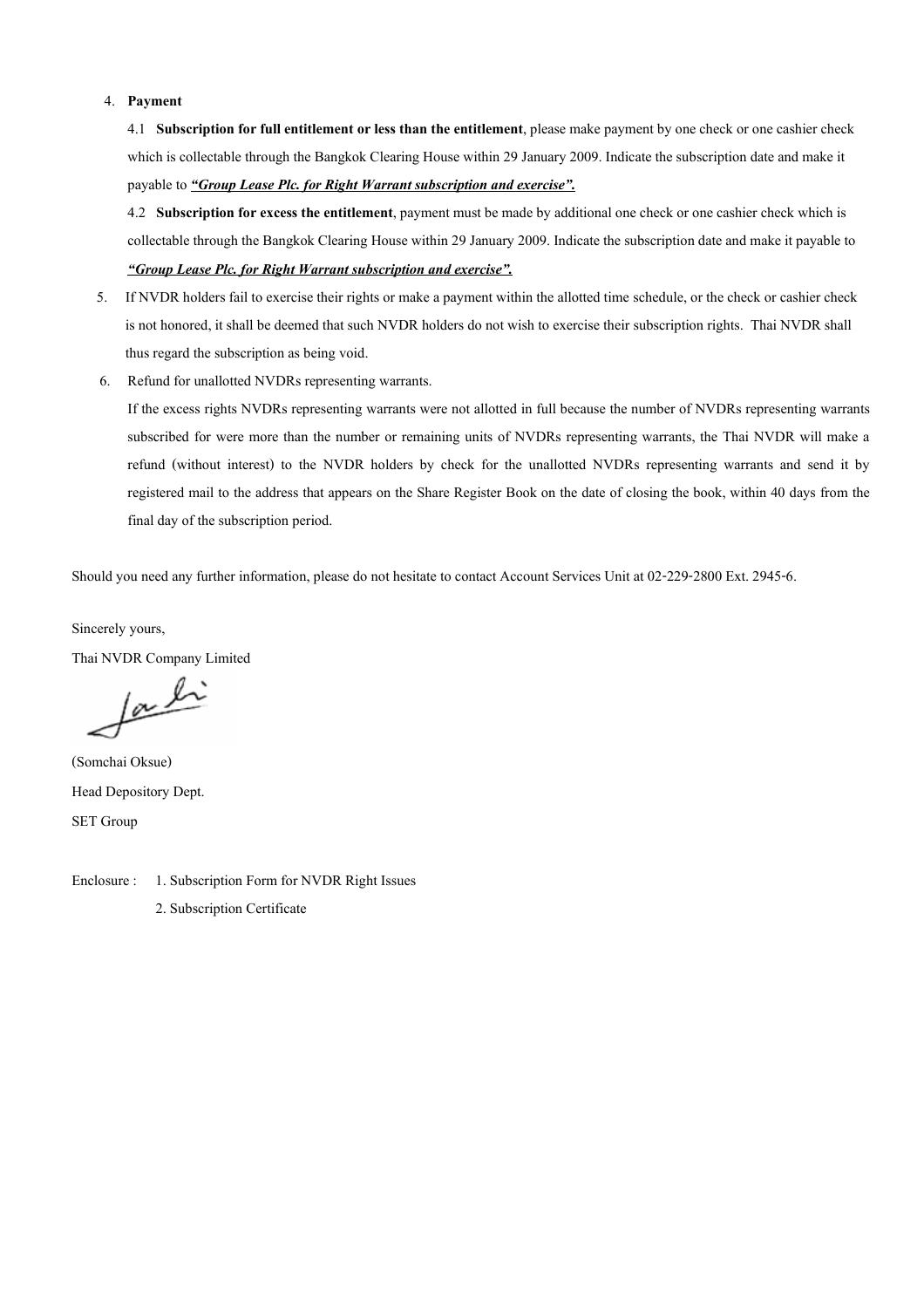#### 4. Payment

4.1 Subscription for full entitlement or less than the entitlement, please make payment by one check or one cashier check which is collectable through the Bangkok Clearing House within 29 January 2009. Indicate the subscription date and make it payable to "Group Lease Plc. for Right Warrant subscription and exercise".

4.2 Subscription for excess the entitlement, payment must be made by additional one check or one cashier check which is collectable through the Bangkok Clearing House within 29 January 2009. Indicate the subscription date and make it payable to "Group Lease Plc. for Right Warrant subscription and exercise".

- 5. If NVDR holders fail to exercise their rights or make a payment within the allotted time schedule, or the check or cashier check is not honored, it shall be deemed that such NVDR holders do not wish to exercise their subscription rights. Thai NVDR shall thus regard the subscription as being void.
- 6. Refund for unallotted NVDRs representing warrants.

If the excess rights NVDRs representing warrants were not allotted in full because the number of NVDRs representing warrants subscribed for were more than the number or remaining units of NVDRs representing warrants, the Thai NVDR will make a refund (without interest) to the NVDR holders by check for the unallotted NVDRs representing warrants and send it by registered mail to the address that appears on the Share Register Book on the date of closing the book, within 40 days from the final day of the subscription period.

Should you need any further information, please do not hesitate to contact Account Services Unit at 02-229-2800 Ext. 2945-6.

Sincerely yours,

Thai NVDR Company Limited

faction

(Somchai Oksue) Head Depository Dept. SET Group

Enclosure : 1. Subscription Form for NVDR Right Issues 2. Subscription Certificate